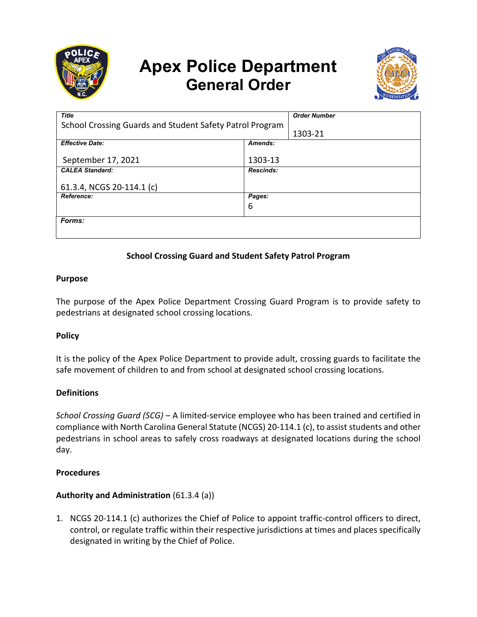

# **Apex Police Department General Order**



| <b>Order Number</b>                                      |
|----------------------------------------------------------|
| School Crossing Guards and Student Safety Patrol Program |
| 1303-21                                                  |
| Amends:                                                  |
|                                                          |
| 1303-13                                                  |
| <b>Rescinds:</b>                                         |
|                                                          |
|                                                          |
| Pages:                                                   |
| 6                                                        |
|                                                          |
|                                                          |
|                                                          |
|                                                          |

# **School Crossing Guard and Student Safety Patrol Program**

## **Purpose**

The purpose of the Apex Police Department Crossing Guard Program is to provide safety to pedestrians at designated school crossing locations.

# **Policy**

It is the policy of the Apex Police Department to provide adult, crossing guards to facilitate the safe movement of children to and from school at designated school crossing locations.

## **Definitions**

*School Crossing Guard (SCG) –* A limited-service employee who has been trained and certified in compliance with North Carolina General Statute (NCGS) 20-114.1 (c), to assist students and other pedestrians in school areas to safely cross roadways at designated locations during the school day.

## **Procedures**

## **Authority and Administration** (61.3.4 (a))

1. NCGS 20-114.1 (c) authorizes the Chief of Police to appoint traffic-control officers to direct, control, or regulate traffic within their respective jurisdictions at times and places specifically designated in writing by the Chief of Police.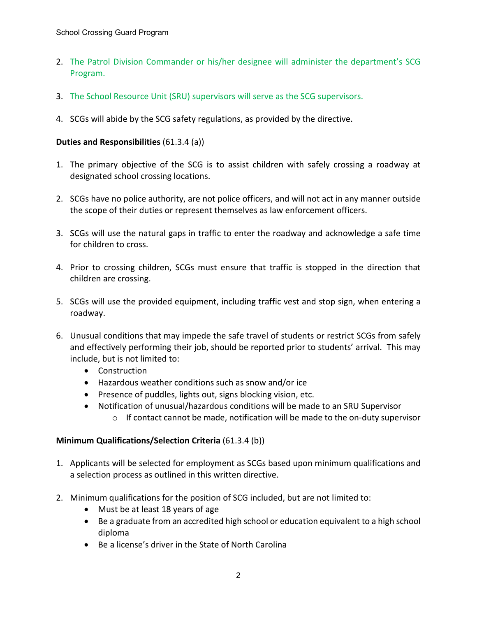- 2. The Patrol Division Commander or his/her designee will administer the department's SCG Program.
- 3. The School Resource Unit (SRU) supervisors will serve as the SCG supervisors.
- 4. SCGs will abide by the SCG safety regulations, as provided by the directive.

# **Duties and Responsibilities** (61.3.4 (a))

- 1. The primary objective of the SCG is to assist children with safely crossing a roadway at designated school crossing locations.
- 2. SCGs have no police authority, are not police officers, and will not act in any manner outside the scope of their duties or represent themselves as law enforcement officers.
- 3. SCGs will use the natural gaps in traffic to enter the roadway and acknowledge a safe time for children to cross.
- 4. Prior to crossing children, SCGs must ensure that traffic is stopped in the direction that children are crossing.
- 5. SCGs will use the provided equipment, including traffic vest and stop sign, when entering a roadway.
- 6. Unusual conditions that may impede the safe travel of students or restrict SCGs from safely and effectively performing their job, should be reported prior to students' arrival. This may include, but is not limited to:
	- Construction
	- Hazardous weather conditions such as snow and/or ice
	- Presence of puddles, lights out, signs blocking vision, etc.
	- Notification of unusual/hazardous conditions will be made to an SRU Supervisor
		- $\circ$  If contact cannot be made, notification will be made to the on-duty supervisor

# **Minimum Qualifications/Selection Criteria** (61.3.4 (b))

- 1. Applicants will be selected for employment as SCGs based upon minimum qualifications and a selection process as outlined in this written directive.
- 2. Minimum qualifications for the position of SCG included, but are not limited to:
	- Must be at least 18 years of age
	- Be a graduate from an accredited high school or education equivalent to a high school diploma
	- Be a license's driver in the State of North Carolina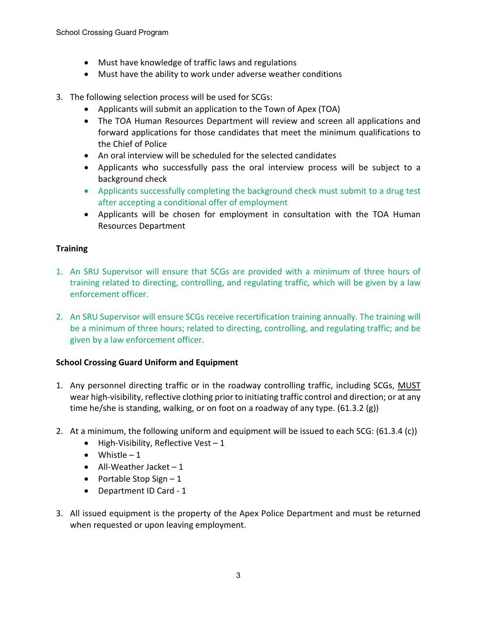- Must have knowledge of traffic laws and regulations
- Must have the ability to work under adverse weather conditions
- 3. The following selection process will be used for SCGs:
	- Applicants will submit an application to the Town of Apex (TOA)
	- The TOA Human Resources Department will review and screen all applications and forward applications for those candidates that meet the minimum qualifications to the Chief of Police
	- An oral interview will be scheduled for the selected candidates
	- Applicants who successfully pass the oral interview process will be subject to a background check
	- Applicants successfully completing the background check must submit to a drug test after accepting a conditional offer of employment
	- Applicants will be chosen for employment in consultation with the TOA Human Resources Department

## **Training**

- 1. An SRU Supervisor will ensure that SCGs are provided with a minimum of three hours of training related to directing, controlling, and regulating traffic, which will be given by a law enforcement officer.
- 2. An SRU Supervisor will ensure SCGs receive recertification training annually. The training will be a minimum of three hours; related to directing, controlling, and regulating traffic; and be given by a law enforcement officer.

## **School Crossing Guard Uniform and Equipment**

- 1. Any personnel directing traffic or in the roadway controlling traffic, including SCGs, MUST wear high-visibility, reflective clothing prior to initiating traffic control and direction; or at any time he/she is standing, walking, or on foot on a roadway of any type.  $(61.3.2 \text{ (g)})$
- 2. At a minimum, the following uniform and equipment will be issued to each SCG: (61.3.4 (c))
	- $\bullet$  High-Visibility, Reflective Vest 1
	- $\bullet$  Whistle 1
	- $\bullet$  All-Weather Jacket 1
	- Portable Stop Sign  $-1$
	- Department ID Card 1
- 3. All issued equipment is the property of the Apex Police Department and must be returned when requested or upon leaving employment.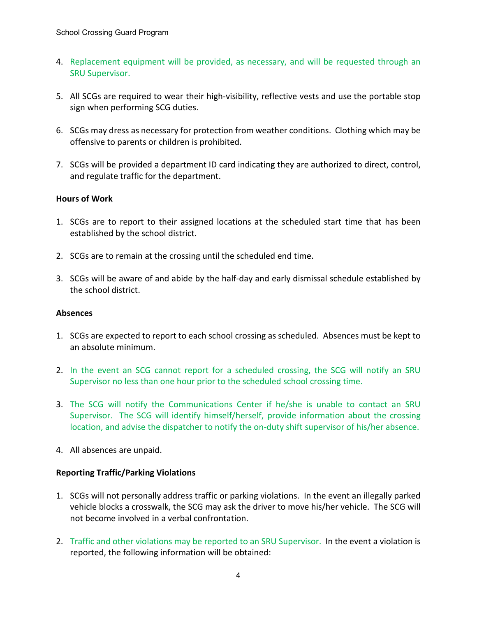- 4. Replacement equipment will be provided, as necessary, and will be requested through an SRU Supervisor.
- 5. All SCGs are required to wear their high-visibility, reflective vests and use the portable stop sign when performing SCG duties.
- 6. SCGs may dress as necessary for protection from weather conditions. Clothing which may be offensive to parents or children is prohibited.
- 7. SCGs will be provided a department ID card indicating they are authorized to direct, control, and regulate traffic for the department.

## **Hours of Work**

- 1. SCGs are to report to their assigned locations at the scheduled start time that has been established by the school district.
- 2. SCGs are to remain at the crossing until the scheduled end time.
- 3. SCGs will be aware of and abide by the half-day and early dismissal schedule established by the school district.

## **Absences**

- 1. SCGs are expected to report to each school crossing as scheduled. Absences must be kept to an absolute minimum.
- 2. In the event an SCG cannot report for a scheduled crossing, the SCG will notify an SRU Supervisor no less than one hour prior to the scheduled school crossing time.
- 3. The SCG will notify the Communications Center if he/she is unable to contact an SRU Supervisor. The SCG will identify himself/herself, provide information about the crossing location, and advise the dispatcher to notify the on-duty shift supervisor of his/her absence.
- 4. All absences are unpaid.

## **Reporting Traffic/Parking Violations**

- 1. SCGs will not personally address traffic or parking violations. In the event an illegally parked vehicle blocks a crosswalk, the SCG may ask the driver to move his/her vehicle. The SCG will not become involved in a verbal confrontation.
- 2. Traffic and other violations may be reported to an SRU Supervisor. In the event a violation is reported, the following information will be obtained: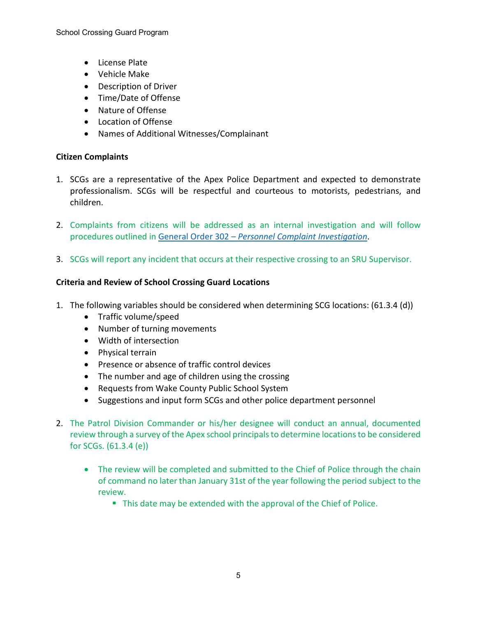- License Plate
- Vehicle Make
- Description of Driver
- Time/Date of Offense
- Nature of Offense
- Location of Offense
- Names of Additional Witnesses/Complainant

## **Citizen Complaints**

- 1. SCGs are a representative of the Apex Police Department and expected to demonstrate professionalism. SCGs will be respectful and courteous to motorists, pedestrians, and children.
- 2. Complaints from citizens will be addressed as an internal investigation and will follow procedures outlined in General Order 302 – *[Personnel Complaint Investigation](https://powerdms.com/link/APEXPD/document/?id=444867)*.
- 3. SCGs will report any incident that occurs at their respective crossing to an SRU Supervisor.

# **Criteria and Review of School Crossing Guard Locations**

- 1. The following variables should be considered when determining SCG locations: (61.3.4 (d))
	- Traffic volume/speed
	- Number of turning movements
	- Width of intersection
	- Physical terrain
	- Presence or absence of traffic control devices
	- The number and age of children using the crossing
	- Requests from Wake County Public School System
	- Suggestions and input form SCGs and other police department personnel
- 2. The Patrol Division Commander or his/her designee will conduct an annual, documented review through a survey of the Apex school principals to determine locations to be considered for SCGs. (61.3.4 (e))
	- The review will be completed and submitted to the Chief of Police through the chain of command no later than January 31st of the year following the period subject to the review.
		- This date may be extended with the approval of the Chief of Police.